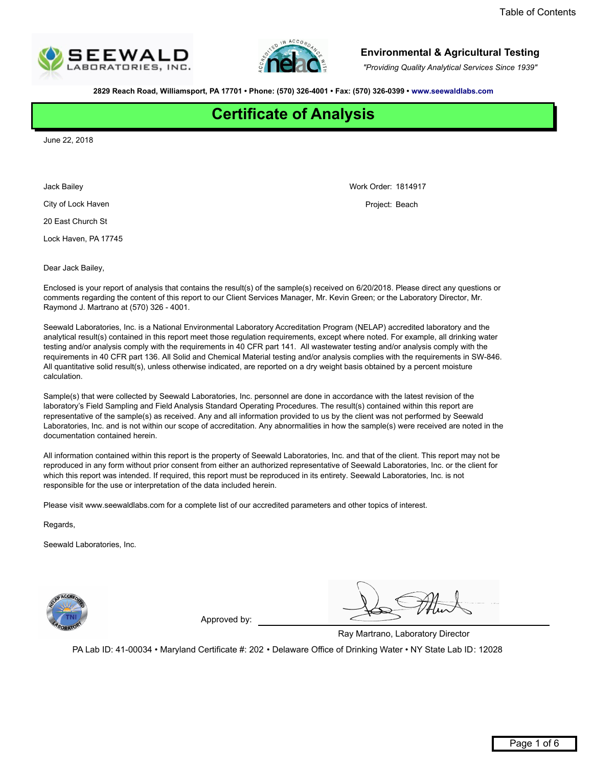<span id="page-0-0"></span>



*"Providing Quality Analytical Services Since 1939"*

**2829 Reach Road, Williamsport, PA 17701 ï Phone: (570) 326-4001 ï Fax: (570) 326-0399 ï www.seewaldlabs.com**

# **Certificate of Analysis**

June 22, 2018

Jack Bailey

City of Lock Haven

20 East Church St

Lock Haven, PA 17745

Dear Jack Bailey,

Enclosed is your report of analysis that contains the result(s) of the sample(s) received on 6/20/2018. Please direct any questions or comments regarding the content of this report to our Client Services Manager, Mr. Kevin Green; or the Laboratory Director, Mr. Raymond J. Martrano at (570) 326 - 4001.

Seewald Laboratories, Inc. is a National Environmental Laboratory Accreditation Program (NELAP) accredited laboratory and the analytical result(s) contained in this report meet those regulation requirements, except where noted. For example, all drinking water testing and/or analysis comply with the requirements in 40 CFR part 141. All wastewater testing and/or analysis comply with the requirements in 40 CFR part 136. All Solid and Chemical Material testing and/or analysis complies with the requirements in SW-846. All quantitative solid result(s), unless otherwise indicated, are reported on a dry weight basis obtained by a percent moisture calculation.

Sample(s) that were collected by Seewald Laboratories, Inc. personnel are done in accordance with the latest revision of the laboratoryís Field Sampling and Field Analysis Standard Operating Procedures. The result(s) contained within this report are representative of the sample(s) as received. Any and all information provided to us by the client was not performed by Seewald Laboratories, Inc. and is not within our scope of accreditation. Any abnormalities in how the sample(s) were received are noted in the documentation contained herein.

All information contained within this report is the property of Seewald Laboratories, Inc. and that of the client. This report may not be reproduced in any form without prior consent from either an authorized representative of Seewald Laboratories, Inc. or the client for which this report was intended. If required, this report must be reproduced in its entirety. Seewald Laboratories, Inc. is not responsible for the use or interpretation of the data included herein.

Please visit www.seewaldlabs.com for a complete list of our accredited parameters and other topics of interest.

Regards,

Seewald Laboratories, Inc.



Approved by:

Ray Martrano, Laboratory Director

PA Lab ID: 41-00034 • Maryland Certificate #: 202 • Delaware Office of Drinking Water • NY State Lab ID: 12028

Work Order: 1814917

Project: Beach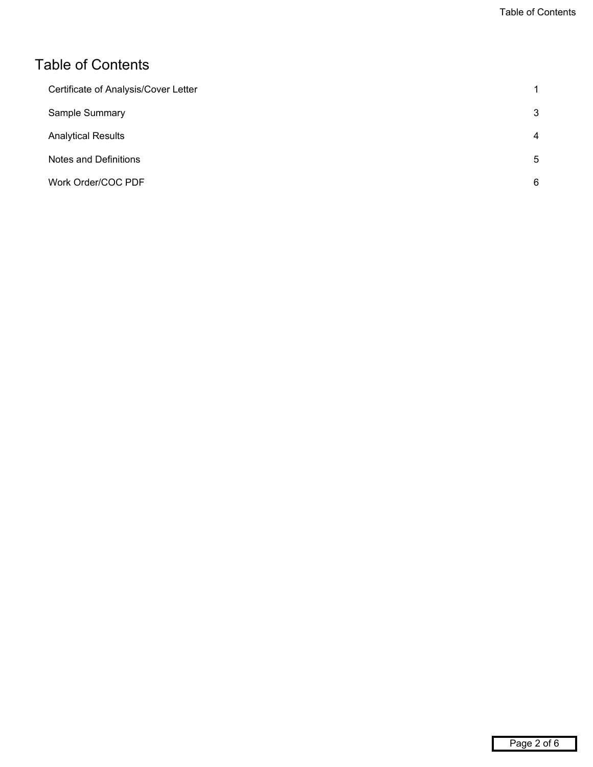### <span id="page-1-0"></span>Table of Contents

| Certificate of Analysis/Cover Letter | 1 |
|--------------------------------------|---|
| Sample Summary                       | 3 |
| <b>Analytical Results</b>            | 4 |
| Notes and Definitions                | 5 |
| Work Order/COC PDF                   | 6 |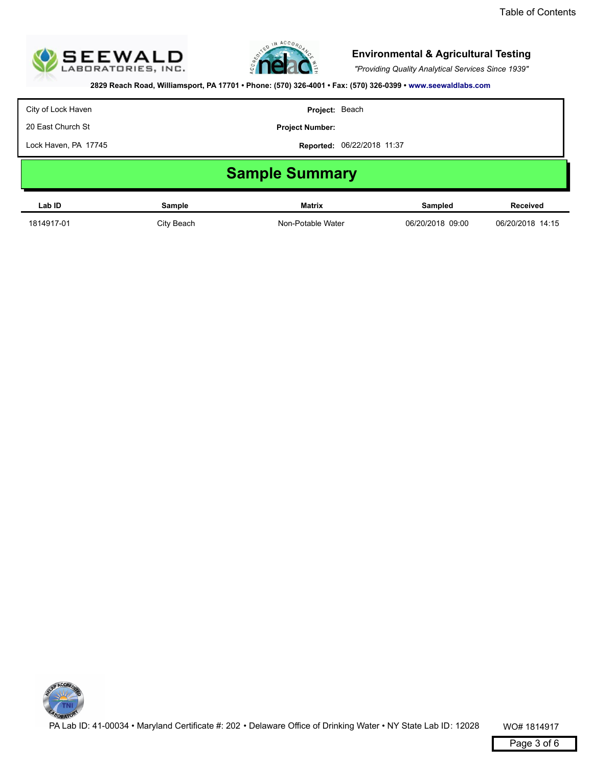<span id="page-2-0"></span>



*"Providing Quality Analytical Services Since 1939"*

**2829 Reach Road, Williamsport, PA 17701 ï Phone: (570) 326-4001 ï Fax: (570) 326-0399 ï www.seewaldlabs.com**

City of Lock Haven

20 East Church St

**Project Number:**

Lock Haven, PA 17745

**Reported:** 06/22/2018 11:37

**Project:** Beach

# **Sample Summary**

| Lab ID     | Sample     | <b>Matrix</b>     | Sampled          | <b>Received</b>  |
|------------|------------|-------------------|------------------|------------------|
| 1814917-01 | City Beach | Non-Potable Water | 06/20/2018 09:00 | 06/20/2018 14:15 |

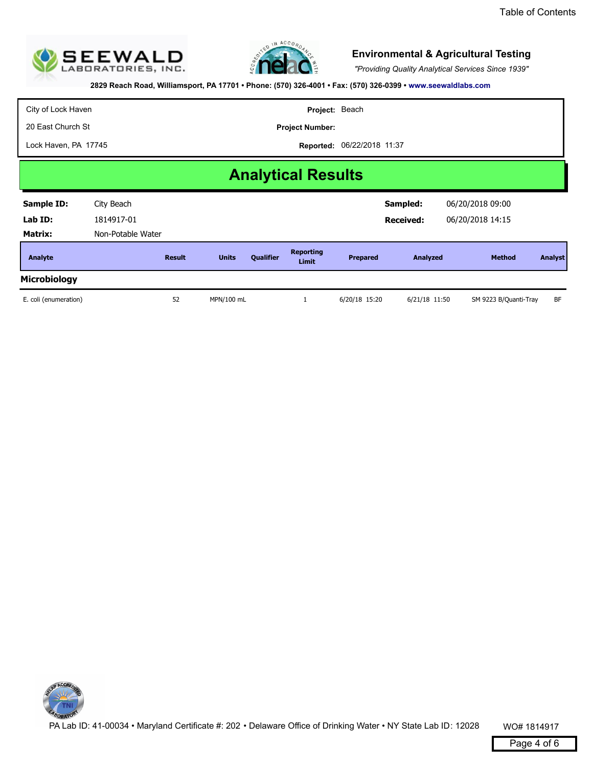<span id="page-3-0"></span>



*"Providing Quality Analytical Services Since 1939"*

**2829 Reach Road, Williamsport, PA 17701 ï Phone: (570) 326-4001 ï Fax: (570) 326-0399 ï www.seewaldlabs.com**

**Reported:** 06/22/2018 11:37 City of Lock Haven 20 East Church St Lock Haven, PA 17745 **Project:** Beach **Project Number: Analytical Results Analyte Result Reporting Limits Qualifier Limit Prepared Analyzed Method** *1814917-01 City Beach*  **Prepared Analyzed Method Analyst Sample ID: Lab ID: Matrix:** *Non-Potable Water* **Sampled: Received:** *06/20/2018 09:00 06/20/2018 14:15* **Microbiology**  *E. coli (enumeration) 52 MPN/100 mL 1 6/20/18 15:20 6/21/18 11:50 SM 9223 B/Quanti-Tray BF*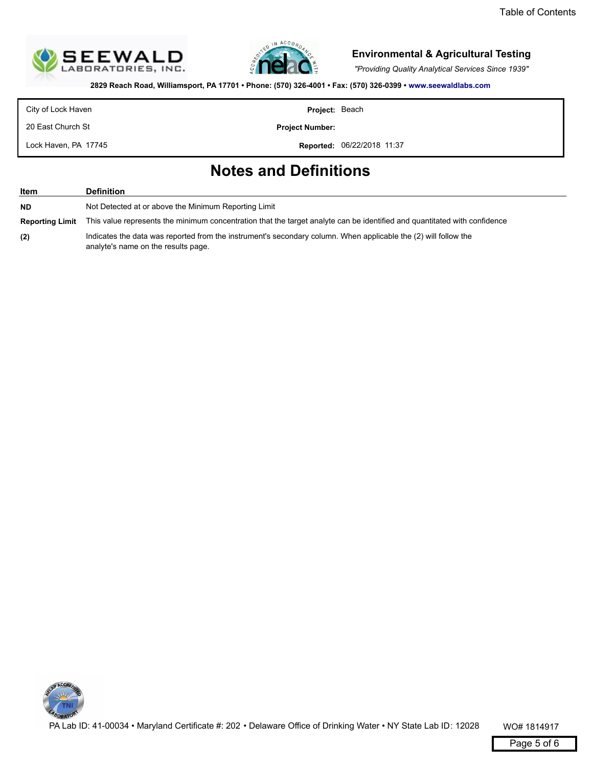<span id="page-4-0"></span>



*"Providing Quality Analytical Services Since 1939"*

**2829 Reach Road, Williamsport, PA 17701 ï Phone: (570) 326-4001 ï Fax: (570) 326-0399 ï www.seewaldlabs.com**

City of Lock Haven

**Project:** Beach

20 East Church St

Lock Haven, PA 17745

**Project Number:**

**Reported:** 06/22/2018 11:37

## **Notes and Definitions**

| Item                   | <b>Definition</b>                                                                                                                                      |
|------------------------|--------------------------------------------------------------------------------------------------------------------------------------------------------|
| <b>ND</b>              | Not Detected at or above the Minimum Reporting Limit                                                                                                   |
| <b>Reporting Limit</b> | This value represents the minimum concentration that the target analyte can be identified and quantitated with confidence                              |
| (2)                    | Indicates the data was reported from the instrument's secondary column. When applicable the (2) will follow the<br>analyte's name on the results page. |